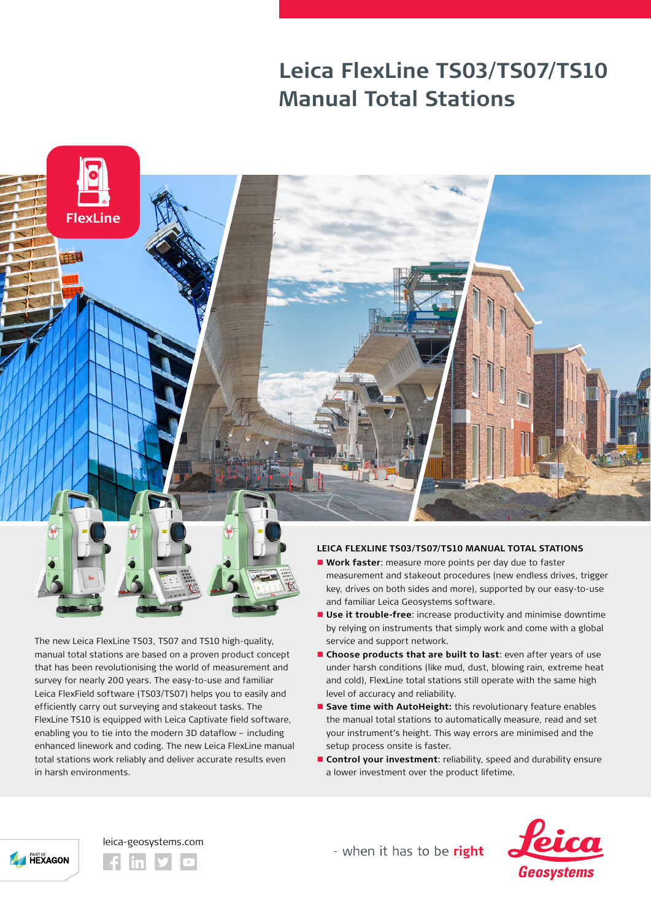## **Leica FlexLine TS03/TS07/TS10 Manual Total Stations**



The new Leica FlexLine TS03, TS07 and TS10 high-quality, manual total stations are based on a proven product concept that has been revolutionising the world of measurement and survey for nearly 200 years. The easy-to-use and familiar Leica FlexField software (TS03/TS07) helps you to easily and efficiently carry out surveying and stakeout tasks. The FlexLine TS10 is equipped with Leica Captivate field software, enabling you to tie into the modern 3D dataflow – including enhanced linework and coding. The new Leica FlexLine manual total stations work reliably and deliver accurate results even in harsh environments.

- **Nork faster**: measure more points per day due to faster measurement and stakeout procedures (new endless drives, trigger key, drives on both sides and more), supported by our easy-to-use and familiar Leica Geosystems software.
- $\blacksquare$  **Use it trouble-free**: increase productivity and minimise downtime by relying on instruments that simply work and come with a global service and support network.
- **n** Choose products that are built to last: even after years of use under harsh conditions (like mud, dust, blowing rain, extreme heat and cold), FlexLine total stations still operate with the same high level of accuracy and reliability.
- **E** Save time with AutoHeight: this revolutionary feature enables the manual total stations to automatically measure, read and set your instrument's height. This way errors are minimised and the setup process onsite is faster.
- **n** Control your investment: reliability, speed and durability ensure a lower investment over the product lifetime.





- when it has to be right